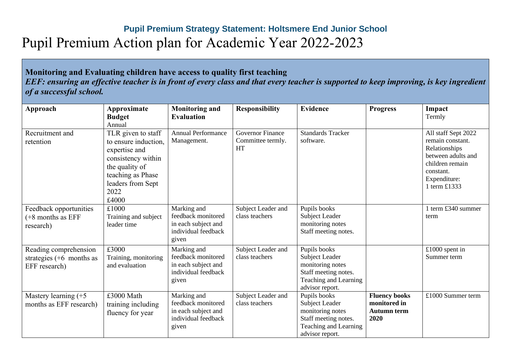## **Pupil Premium Strategy Statement: Holtsmere End Junior School** Pupil Premium Action plan for Academic Year 2022-2023

## **Monitoring and Evaluating children have access to quality first teaching**  *EEF: ensuring an effective teacher is in front of every class and that every teacher is supported to keep improving, is key ingredient of a successful school.*

| Approach                                                             | Approximate<br><b>Budget</b><br>Annual                                                                                                                         | <b>Monitoring and</b><br><b>Evaluation</b>                                               | <b>Responsibility</b>                              | <b>Evidence</b>                                                                                                        | <b>Progress</b>                                                    | Impact<br>Termly                                                                                                                               |
|----------------------------------------------------------------------|----------------------------------------------------------------------------------------------------------------------------------------------------------------|------------------------------------------------------------------------------------------|----------------------------------------------------|------------------------------------------------------------------------------------------------------------------------|--------------------------------------------------------------------|------------------------------------------------------------------------------------------------------------------------------------------------|
| Recruitment and<br>retention                                         | TLR given to staff<br>to ensure induction,<br>expertise and<br>consistency within<br>the quality of<br>teaching as Phase<br>leaders from Sept<br>2022<br>£4000 | <b>Annual Performance</b><br>Management.                                                 | <b>Governor Finance</b><br>Committee termly.<br>HT | <b>Standards Tracker</b><br>software.                                                                                  |                                                                    | All staff Sept 2022<br>remain constant.<br>Relationships<br>between adults and<br>children remain<br>constant.<br>Expenditure:<br>1 term £1333 |
| Feedback opportunities<br>$(+8$ months as EFF<br>research)           | £1000<br>Training and subject<br>leader time                                                                                                                   | Marking and<br>feedback monitored<br>in each subject and<br>individual feedback<br>given | Subject Leader and<br>class teachers               | Pupils books<br>Subject Leader<br>monitoring notes<br>Staff meeting notes.                                             |                                                                    | 1 term £340 summer<br>term                                                                                                                     |
| Reading comprehension<br>strategies $(+6$ months as<br>EFF research) | £3000<br>Training, monitoring<br>and evaluation                                                                                                                | Marking and<br>feedback monitored<br>in each subject and<br>individual feedback<br>given | Subject Leader and<br>class teachers               | Pupils books<br>Subject Leader<br>monitoring notes<br>Staff meeting notes.<br>Teaching and Learning<br>advisor report. |                                                                    | $£1000$ spent in<br>Summer term                                                                                                                |
| Mastery learning $(+5)$<br>months as EFF research)                   | £3000 Math<br>training including<br>fluency for year                                                                                                           | Marking and<br>feedback monitored<br>in each subject and<br>individual feedback<br>given | Subject Leader and<br>class teachers               | Pupils books<br>Subject Leader<br>monitoring notes<br>Staff meeting notes.<br>Teaching and Learning<br>advisor report. | <b>Fluency books</b><br>monitored in<br><b>Autumn term</b><br>2020 | £1000 Summer term                                                                                                                              |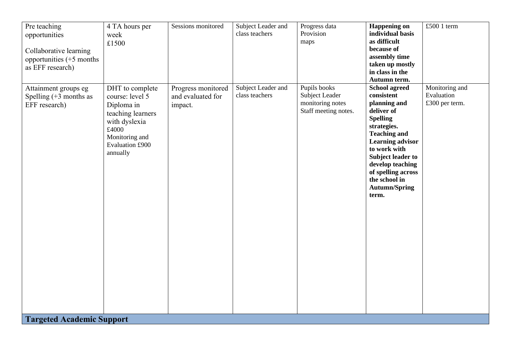| Pre teaching<br>opportunities<br>Collaborative learning<br>opportunities $(+5$ months<br>as EFF research) | 4 TA hours per<br>week<br>£1500                                                                                                                  | Sessions monitored                                 | Subject Leader and<br>class teachers | Progress data<br>Provision<br>maps                                         | <b>Happening on</b><br>individual basis<br>as difficult<br>because of<br>assembly time<br>taken up mostly<br>in class in the<br>Autumn term.                                                                                                                                                 | £500 1 term                                    |
|-----------------------------------------------------------------------------------------------------------|--------------------------------------------------------------------------------------------------------------------------------------------------|----------------------------------------------------|--------------------------------------|----------------------------------------------------------------------------|----------------------------------------------------------------------------------------------------------------------------------------------------------------------------------------------------------------------------------------------------------------------------------------------|------------------------------------------------|
| Attainment groups eg<br>Spelling $(+3$ months as<br>EFF research)                                         | DHT to complete<br>course: level 5<br>Diploma in<br>teaching learners<br>with dyslexia<br>£4000<br>Monitoring and<br>Evaluation £900<br>annually | Progress monitored<br>and evaluated for<br>impact. | Subject Leader and<br>class teachers | Pupils books<br>Subject Leader<br>monitoring notes<br>Staff meeting notes. | <b>School agreed</b><br>consistent<br>planning and<br>deliver of<br><b>Spelling</b><br>strategies.<br><b>Teaching and</b><br><b>Learning advisor</b><br>to work with<br><b>Subject leader to</b><br>develop teaching<br>of spelling across<br>the school in<br><b>Autumn/Spring</b><br>term. | Monitoring and<br>Evaluation<br>£300 per term. |
| <b>Targeted Academic Support</b>                                                                          |                                                                                                                                                  |                                                    |                                      |                                                                            |                                                                                                                                                                                                                                                                                              |                                                |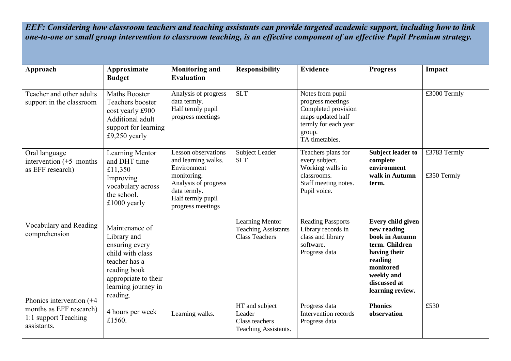*EEF: Considering how classroom teachers and teaching assistants can provide targeted academic support, including how to link one-to-one or small group intervention to classroom teaching, is an effective component of an effective Pupil Premium strategy.*

| Approach                                                                                      | Approximate<br><b>Budget</b>                                                                                                                                    | <b>Monitoring and</b><br><b>Evaluation</b>                                                                                                                        | <b>Responsibility</b>                                                         | <b>Evidence</b>                                                                                                                       | <b>Progress</b>                                                                                                                                                | Impact                      |
|-----------------------------------------------------------------------------------------------|-----------------------------------------------------------------------------------------------------------------------------------------------------------------|-------------------------------------------------------------------------------------------------------------------------------------------------------------------|-------------------------------------------------------------------------------|---------------------------------------------------------------------------------------------------------------------------------------|----------------------------------------------------------------------------------------------------------------------------------------------------------------|-----------------------------|
| Teacher and other adults<br>support in the classroom                                          | Maths Booster<br>Teachers booster<br>cost yearly £900<br>Additional adult<br>support for learning<br>£9,250 yearly                                              | Analysis of progress<br>data termly.<br>Half termly pupil<br>progress meetings                                                                                    | <b>SLT</b>                                                                    | Notes from pupil<br>progress meetings<br>Completed provision<br>maps updated half<br>termly for each year<br>group.<br>TA timetables. |                                                                                                                                                                | £3000 Termly                |
| Oral language<br>intervention $(+5$ months<br>as EFF research)                                | Learning Mentor<br>and DHT time<br>£11,350<br>Improving<br>vocabulary across<br>the school.<br>$£1000$ yearly                                                   | <b>Lesson</b> observations<br>and learning walks.<br>Environment<br>monitoring.<br>Analysis of progress<br>data termly.<br>Half termly pupil<br>progress meetings | Subject Leader<br><b>SLT</b>                                                  | Teachers plans for<br>every subject.<br>Working walls in<br>classrooms.<br>Staff meeting notes.<br>Pupil voice.                       | <b>Subject leader to</b><br>complete<br>environment<br>walk in Autumn<br>term.                                                                                 | £3783 Termly<br>£350 Termly |
| Vocabulary and Reading<br>comprehension                                                       | Maintenance of<br>Library and<br>ensuring every<br>child with class<br>teacher has a<br>reading book<br>appropriate to their<br>learning journey in<br>reading. |                                                                                                                                                                   | <b>Learning Mentor</b><br><b>Teaching Assistants</b><br><b>Class Teachers</b> | <b>Reading Passports</b><br>Library records in<br>class and library<br>software.<br>Progress data                                     | Every child given<br>new reading<br>book in Autumn<br>term. Children<br>having their<br>reading<br>monitored<br>weekly and<br>discussed at<br>learning review. |                             |
| Phonics intervention $(+4)$<br>months as EFF research)<br>1:1 support Teaching<br>assistants. | 4 hours per week<br>£1560.                                                                                                                                      | Learning walks.                                                                                                                                                   | HT and subject<br>Leader<br>Class teachers<br>Teaching Assistants.            | Progress data<br>Intervention records<br>Progress data                                                                                | <b>Phonics</b><br>observation                                                                                                                                  | £530                        |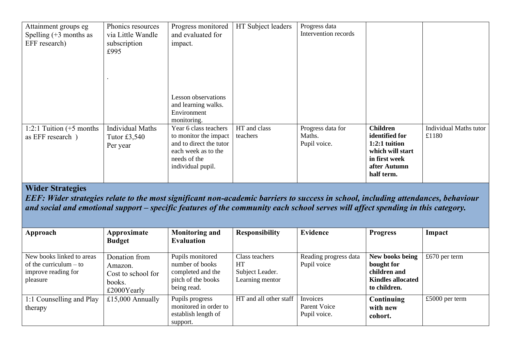| Attainment groups eg<br>Spelling $(+3$ months as<br>EFF research)                                                                                                                                                                                                                               | Phonics resources<br>via Little Wandle<br>subscription<br>£995          | Progress monitored<br>and evaluated for<br>impact.<br><b>Lesson</b> observations<br>and learning walks.<br>Environment<br>monitoring. | HT Subject leaders                                         | Progress data<br>Intervention records           |                                                                                                                         |                                        |
|-------------------------------------------------------------------------------------------------------------------------------------------------------------------------------------------------------------------------------------------------------------------------------------------------|-------------------------------------------------------------------------|---------------------------------------------------------------------------------------------------------------------------------------|------------------------------------------------------------|-------------------------------------------------|-------------------------------------------------------------------------------------------------------------------------|----------------------------------------|
| 1:2:1 Tuition $(+5$ months<br>as EFF research)                                                                                                                                                                                                                                                  | <b>Individual Maths</b><br>Tutor £3,540<br>Per year                     | Year 6 class teachers<br>to monitor the impact<br>and to direct the tutor<br>each week as to the<br>needs of the<br>individual pupil. | HT and class<br>teachers                                   | Progress data for<br>Maths.<br>Pupil voice.     | <b>Children</b><br>identified for<br>$1:2:1$ tuition<br>which will start<br>in first week<br>after Autumn<br>half term. | <b>Individual Maths tutor</b><br>£1180 |
| <b>Wider Strategies</b><br>EEF: Wider strategies relate to the most significant non-academic barriers to success in school, including attendances, behaviour<br>and social and emotional support – specific features of the community each school serves will affect spending in this category. |                                                                         |                                                                                                                                       |                                                            |                                                 |                                                                                                                         |                                        |
| Approach                                                                                                                                                                                                                                                                                        | Approximate<br><b>Budget</b>                                            | <b>Monitoring and</b><br><b>Evaluation</b>                                                                                            | <b>Responsibility</b>                                      | <b>Evidence</b>                                 | <b>Progress</b>                                                                                                         | Impact                                 |
| New books linked to areas<br>of the curriculum $-$ to<br>improve reading for<br>pleasure                                                                                                                                                                                                        | Donation from<br>Amazon.<br>Cost to school for<br>books.<br>£2000Yearly | Pupils monitored<br>number of books<br>completed and the<br>pitch of the books<br>being read.                                         | Class teachers<br>HT<br>Subject Leader.<br>Learning mentor | Reading progress data<br>Pupil voice            | New books being<br>bought for<br>children and<br><b>Kindles allocated</b><br>to children.                               | £670 per term                          |
| 1:1 Counselling and Play<br>therapy                                                                                                                                                                                                                                                             | £15,000 Annually                                                        | Pupils progress<br>monitored in order to<br>establish length of<br>support.                                                           | HT and all other staff                                     | Invoices<br><b>Parent Voice</b><br>Pupil voice. | Continuing<br>with new<br>cohort.                                                                                       | £5000 per term                         |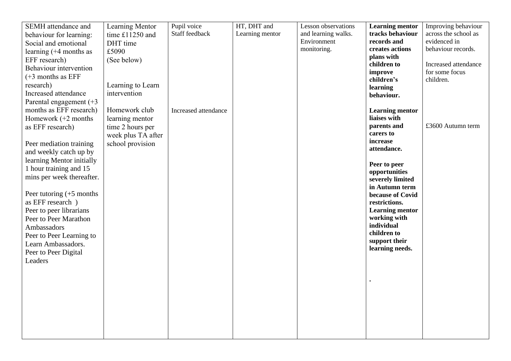| HT, DHT and<br>Pupil voice<br><b>Lesson</b> observations<br><b>Learning mentor</b><br>Improving behaviour<br>SEMH attendance and<br><b>Learning Mentor</b> |
|------------------------------------------------------------------------------------------------------------------------------------------------------------|
| Staff feedback<br>tracks behaviour<br>across the school as<br>Learning mentor<br>and learning walks.<br>time £11250 and<br>behaviour for learning:         |
| records and<br>evidenced in<br>Environment<br>DHT time<br>Social and emotional                                                                             |
| behaviour records.<br>monitoring.<br>creates actions<br>learning $(+4$ months as<br>£5090                                                                  |
| plans with<br>EFF research)<br>(See below)                                                                                                                 |
| children to<br>Increased attendance<br>Behaviour intervention                                                                                              |
| improve<br>for some focus<br>$(+3$ months as EFF                                                                                                           |
| children's<br>children.<br>Learning to Learn<br>research)                                                                                                  |
| learning<br>Increased attendance<br>intervention                                                                                                           |
| behaviour.                                                                                                                                                 |
| Parental engagement $(+3)$                                                                                                                                 |
| months as EFF research)<br>Homework club<br>Increased attendance<br><b>Learning mentor</b>                                                                 |
| liaises with<br>Homework $(+2$ months<br>learning mentor<br>£3600 Autumn term                                                                              |
| parents and<br>as EFF research)<br>time 2 hours per<br>carers to                                                                                           |
| week plus TA after<br>increase                                                                                                                             |
| school provision<br>Peer mediation training<br>attendance.                                                                                                 |
| and weekly catch up by                                                                                                                                     |
| learning Mentor initially<br>Peer to peer                                                                                                                  |
| 1 hour training and 15<br>opportunities                                                                                                                    |
| mins per week thereafter.<br>severely limited                                                                                                              |
| in Autumn term                                                                                                                                             |
| Peer tutoring $(+5$ months<br>because of Covid                                                                                                             |
| as EFF research )<br>restrictions.                                                                                                                         |
| <b>Learning mentor</b><br>Peer to peer librarians                                                                                                          |
| working with<br>Peer to Peer Marathon                                                                                                                      |
| individual<br>Ambassadors                                                                                                                                  |
| children to<br>Peer to Peer Learning to                                                                                                                    |
| support their<br>Learn Ambassadors.                                                                                                                        |
| learning needs.<br>Peer to Peer Digital                                                                                                                    |
| Leaders                                                                                                                                                    |
|                                                                                                                                                            |
|                                                                                                                                                            |
|                                                                                                                                                            |
|                                                                                                                                                            |
|                                                                                                                                                            |
|                                                                                                                                                            |
|                                                                                                                                                            |
|                                                                                                                                                            |
|                                                                                                                                                            |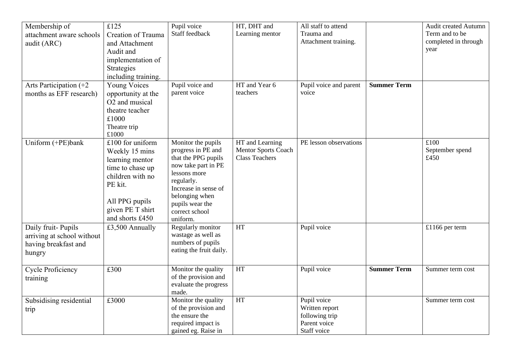| Membership of              | £125                | Pupil voice                       | HT, DHT and                | All staff to attend    |                    | <b>Audit created Autumn</b> |
|----------------------------|---------------------|-----------------------------------|----------------------------|------------------------|--------------------|-----------------------------|
| attachment aware schools   | Creation of Trauma  | Staff feedback                    | Learning mentor            | Trauma and             |                    | Term and to be              |
| audit (ARC)                | and Attachment      |                                   |                            | Attachment training.   |                    | completed in through        |
|                            | Audit and           |                                   |                            |                        |                    | year                        |
|                            | implementation of   |                                   |                            |                        |                    |                             |
|                            | Strategies          |                                   |                            |                        |                    |                             |
|                            | including training. |                                   |                            |                        |                    |                             |
| Arts Participation $(+2)$  | Young Voices        | Pupil voice and                   | HT and Year 6              | Pupil voice and parent | <b>Summer Term</b> |                             |
| months as EFF research)    | opportunity at the  | parent voice                      | teachers                   | voice                  |                    |                             |
|                            | O2 and musical      |                                   |                            |                        |                    |                             |
|                            | theatre teacher     |                                   |                            |                        |                    |                             |
|                            | £1000               |                                   |                            |                        |                    |                             |
|                            | Theatre trip        |                                   |                            |                        |                    |                             |
|                            | £1000               |                                   |                            |                        |                    |                             |
| Uniform (+PE)bank          | £100 for uniform    | Monitor the pupils                | HT and Learning            | PE lesson observations |                    | £100                        |
|                            | Weekly 15 mins      | progress in PE and                | <b>Mentor Sports Coach</b> |                        |                    | September spend             |
|                            | learning mentor     | that the PPG pupils               | <b>Class Teachers</b>      |                        |                    | £450                        |
|                            | time to chase up    | now take part in PE               |                            |                        |                    |                             |
|                            | children with no    | lessons more                      |                            |                        |                    |                             |
|                            | PE kit.             | regularly.                        |                            |                        |                    |                             |
|                            |                     | Increase in sense of              |                            |                        |                    |                             |
|                            | All PPG pupils      | belonging when                    |                            |                        |                    |                             |
|                            | given PE T shirt    | pupils wear the<br>correct school |                            |                        |                    |                             |
|                            | and shorts £450     | uniform.                          |                            |                        |                    |                             |
| Daily fruit-Pupils         | £3,500 Annually     | Regularly monitor                 | HT                         | Pupil voice            |                    | £1166 per term              |
| arriving at school without |                     | wastage as well as                |                            |                        |                    |                             |
| having breakfast and       |                     | numbers of pupils                 |                            |                        |                    |                             |
|                            |                     | eating the fruit daily.           |                            |                        |                    |                             |
| hungry                     |                     |                                   |                            |                        |                    |                             |
| <b>Cycle Proficiency</b>   | £300                | Monitor the quality               | HT                         | Pupil voice            | <b>Summer Term</b> | Summer term cost            |
| training                   |                     | of the provision and              |                            |                        |                    |                             |
|                            |                     | evaluate the progress             |                            |                        |                    |                             |
|                            |                     | made.                             |                            |                        |                    |                             |
| Subsidising residential    | £3000               | Monitor the quality               | HT                         | Pupil voice            |                    | Summer term cost            |
| trip                       |                     | of the provision and              |                            | Written report         |                    |                             |
|                            |                     | the ensure the                    |                            | following trip         |                    |                             |
|                            |                     | required impact is                |                            | Parent voice           |                    |                             |
|                            |                     | gained eg. Raise in               |                            | Staff voice            |                    |                             |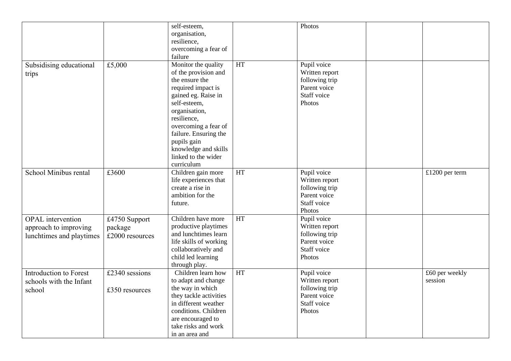|                               |                 | self-esteem,           |           | Photos         |                |
|-------------------------------|-----------------|------------------------|-----------|----------------|----------------|
|                               |                 | organisation,          |           |                |                |
|                               |                 | resilience,            |           |                |                |
|                               |                 | overcoming a fear of   |           |                |                |
|                               |                 | failure                |           |                |                |
|                               |                 |                        |           |                |                |
| Subsidising educational       | £5,000          | Monitor the quality    | <b>HT</b> | Pupil voice    |                |
| trips                         |                 | of the provision and   |           | Written report |                |
|                               |                 | the ensure the         |           | following trip |                |
|                               |                 | required impact is     |           | Parent voice   |                |
|                               |                 | gained eg. Raise in    |           | Staff voice    |                |
|                               |                 | self-esteem,           |           | Photos         |                |
|                               |                 | organisation,          |           |                |                |
|                               |                 | resilience,            |           |                |                |
|                               |                 |                        |           |                |                |
|                               |                 | overcoming a fear of   |           |                |                |
|                               |                 | failure. Ensuring the  |           |                |                |
|                               |                 | pupils gain            |           |                |                |
|                               |                 | knowledge and skills   |           |                |                |
|                               |                 | linked to the wider    |           |                |                |
|                               |                 | curriculum             |           |                |                |
| School Minibus rental         | £3600           | Children gain more     | <b>HT</b> | Pupil voice    | £1200 per term |
|                               |                 | life experiences that  |           | Written report |                |
|                               |                 | create a rise in       |           | following trip |                |
|                               |                 | ambition for the       |           | Parent voice   |                |
|                               |                 |                        |           |                |                |
|                               |                 | future.                |           | Staff voice    |                |
|                               |                 |                        |           | Photos         |                |
| <b>OPAL</b> intervention      | £4750 Support   | Children have more     | <b>HT</b> | Pupil voice    |                |
| approach to improving         | package         | productive playtimes   |           | Written report |                |
| lunchtimes and playtimes      | £2000 resources | and lunchtimes learn   |           | following trip |                |
|                               |                 | life skills of working |           | Parent voice   |                |
|                               |                 | collaboratively and    |           | Staff voice    |                |
|                               |                 | child led learning     |           | Photos         |                |
|                               |                 | through play.          |           |                |                |
|                               |                 |                        |           |                |                |
| <b>Introduction to Forest</b> | £2340 sessions  | Children learn how     | <b>HT</b> | Pupil voice    | £60 per weekly |
| schools with the Infant       |                 | to adapt and change    |           | Written report | session        |
| school                        | £350 resources  | the way in which       |           | following trip |                |
|                               |                 | they tackle activities |           | Parent voice   |                |
|                               |                 | in different weather   |           | Staff voice    |                |
|                               |                 | conditions. Children   |           | Photos         |                |
|                               |                 | are encouraged to      |           |                |                |
|                               |                 | take risks and work    |           |                |                |
|                               |                 | in an area and         |           |                |                |
|                               |                 |                        |           |                |                |